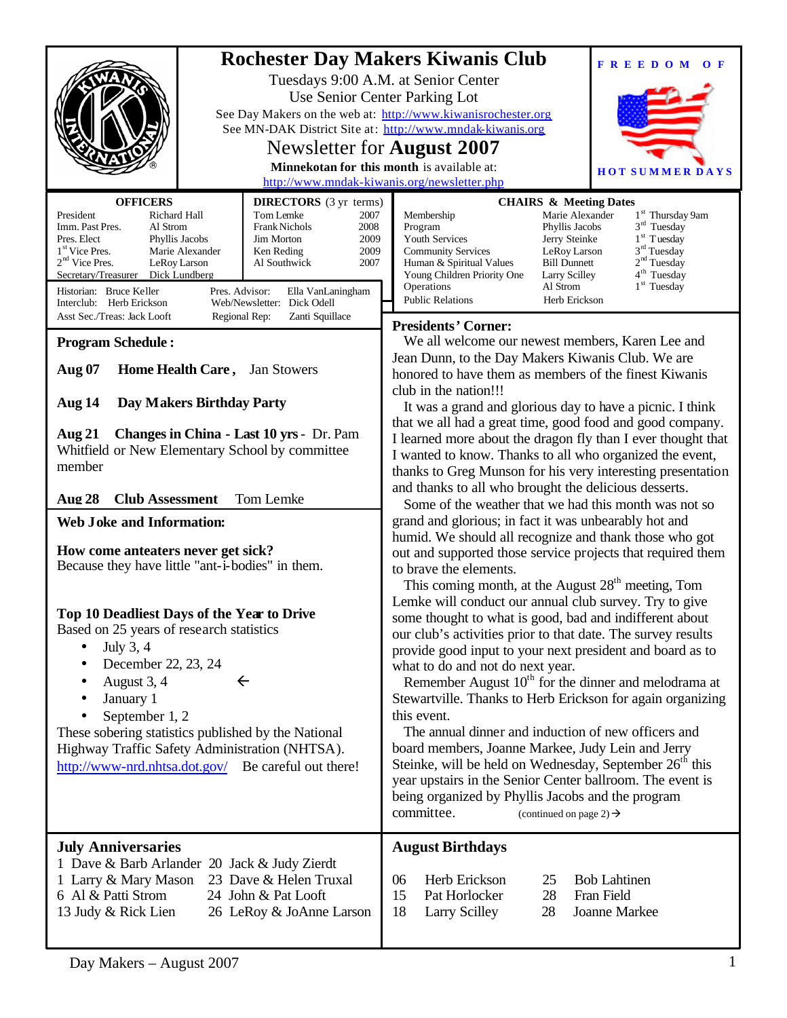|                                                                                                                                                                                                                                                                                                                                                                                                                                                                                                                                                                                                                                                                                                                                                                                                                                                                       | <b>Rochester Day Makers Kiwanis Club</b><br><b>FREEDOM</b><br>$\mathbf{O}$ F<br>Tuesdays 9:00 A.M. at Senior Center<br>Use Senior Center Parking Lot<br>See Day Makers on the web at: http://www.kiwanisrochester.org<br>See MN-DAK District Site at: http://www.mndak-kiwanis.org<br>Newsletter for <b>August</b> 2007<br>Minnekotan for this month is available at:<br><b>HOT SUMMER DAYS</b>                                                                                                                                                                                                                                                                                                                                                                                                                                                                                                                                                                                                                                                                                                                                                                                                                                                                                                                                                                                                                                                                                                                                                                                                                                                                              |
|-----------------------------------------------------------------------------------------------------------------------------------------------------------------------------------------------------------------------------------------------------------------------------------------------------------------------------------------------------------------------------------------------------------------------------------------------------------------------------------------------------------------------------------------------------------------------------------------------------------------------------------------------------------------------------------------------------------------------------------------------------------------------------------------------------------------------------------------------------------------------|------------------------------------------------------------------------------------------------------------------------------------------------------------------------------------------------------------------------------------------------------------------------------------------------------------------------------------------------------------------------------------------------------------------------------------------------------------------------------------------------------------------------------------------------------------------------------------------------------------------------------------------------------------------------------------------------------------------------------------------------------------------------------------------------------------------------------------------------------------------------------------------------------------------------------------------------------------------------------------------------------------------------------------------------------------------------------------------------------------------------------------------------------------------------------------------------------------------------------------------------------------------------------------------------------------------------------------------------------------------------------------------------------------------------------------------------------------------------------------------------------------------------------------------------------------------------------------------------------------------------------------------------------------------------------|
| <b>OFFICERS</b><br><b>DIRECTORS</b> (3 yr terms)<br>President<br>Richard Hall<br>Tom Lemke<br>2007<br>Imm. Past Pres.<br>Al Strom<br><b>Frank Nichols</b><br>2008<br>2009<br>Pres. Elect<br>Phyllis Jacobs<br>Jim Morton<br>1 <sup>st</sup> Vice Pres.<br>2009<br>Marie Alexander<br>Ken Reding<br>$2nd$ Vice Pres.<br>LeRoy Larson<br>2007<br>Al Southwick<br>Secretary/Treasurer Dick Lundberg<br>Historian: Bruce Keller<br>Pres. Advisor:<br>Ella VanLaningham<br>Web/Newsletter: Dick Odell<br>Interclub: Herb Erickson                                                                                                                                                                                                                                                                                                                                          | http://www.mndak-kiwanis.org/newsletter.php<br><b>CHAIRS &amp; Meeting Dates</b><br>Membership<br>Marie Alexander<br>1 <sup>st</sup> Thursday 9am<br>$3rd$ Tuesday<br>Program<br>Phyllis Jacobs<br>$1st$ Tuesday<br>Youth Services<br>Jerry Steinke<br>$3rd$ Tuesday<br><b>Community Services</b><br>LeRoy Larson<br>2 <sup>nd</sup> Tuesday<br><b>Bill Dunnett</b><br>Human & Spiritual Values<br>4 <sup>th</sup> Tuesday<br>Young Children Priority One<br>Larry Scilley<br>$1st$ Tuesday<br>Operations<br>Al Strom<br><b>Public Relations</b><br>Herb Erickson                                                                                                                                                                                                                                                                                                                                                                                                                                                                                                                                                                                                                                                                                                                                                                                                                                                                                                                                                                                                                                                                                                            |
| Asst Sec./Treas: Jack Looft<br>Zanti Squillace<br>Regional Rep:<br><b>Program Schedule:</b><br><b>Aug 07</b><br>Home Health Care, Jan Stowers<br><b>Day Makers Birthday Party</b><br>Aug 14<br>Changes in China - Last 10 yrs - Dr. Pam<br><b>Aug 21</b><br>Whitfield or New Elementary School by committee<br>member<br><b>Club Assessment</b><br>Aug 28<br>Tom Lemke<br><b>Web Joke and Information:</b><br>How come anteaters never get sick?<br>Because they have little "ant-i-bodies" in them.<br>Top 10 Deadliest Days of the Year to Drive<br>Based on 25 years of research statistics<br>July 3, 4<br>December 22, 23, 24<br>August 3, 4<br>$\leftarrow$<br>٠<br>January 1<br>September 1, 2<br>These sobering statistics published by the National<br>Highway Traffic Safety Administration (NHTSA).<br>http://www-nrd.nhtsa.dot.gov/ Be careful out there! | <b>Presidents' Corner:</b><br>We all welcome our newest members, Karen Lee and<br>Jean Dunn, to the Day Makers Kiwanis Club. We are<br>honored to have them as members of the finest Kiwanis<br>club in the nation!!!<br>It was a grand and glorious day to have a picnic. I think<br>that we all had a great time, good food and good company.<br>I learned more about the dragon fly than I ever thought that<br>I wanted to know. Thanks to all who organized the event,<br>thanks to Greg Munson for his very interesting presentation<br>and thanks to all who brought the delicious desserts.<br>Some of the weather that we had this month was not so<br>grand and glorious; in fact it was unbearably hot and<br>humid. We should all recognize and thank those who got<br>out and supported those service projects that required them<br>to brave the elements.<br>This coming month, at the August $28th$ meeting, Tom<br>Lemke will conduct our annual club survey. Try to give<br>some thought to what is good, bad and indifferent about<br>our club's activities prior to that date. The survey results<br>provide good input to your next president and board as to<br>what to do and not do next year.<br>Remember August 10 <sup>th</sup> for the dinner and melodrama at<br>Stewartville. Thanks to Herb Erickson for again organizing<br>this event.<br>The annual dinner and induction of new officers and<br>board members, Joanne Markee, Judy Lein and Jerry<br>Steinke, will be held on Wednesday, September 26 <sup>th</sup> this<br>year upstairs in the Senior Center ballroom. The event is<br>being organized by Phyllis Jacobs and the program |
| <b>July Anniversaries</b><br>1 Dave & Barb Arlander 20 Jack & Judy Zierdt<br>23 Dave & Helen Truxal<br>1 Larry & Mary Mason<br>6 Al & Patti Strom<br>24 John & Pat Looft<br>13 Judy & Rick Lien<br>26 LeRoy & JoAnne Larson                                                                                                                                                                                                                                                                                                                                                                                                                                                                                                                                                                                                                                           | committee.<br>(continued on page 2) $\rightarrow$<br><b>August Birthdays</b><br>Herb Erickson<br><b>Bob Lahtinen</b><br>06<br>25<br>15<br>Pat Horlocker<br>28<br>Fran Field<br>18<br><b>Larry Scilley</b><br>28<br>Joanne Markee                                                                                                                                                                                                                                                                                                                                                                                                                                                                                                                                                                                                                                                                                                                                                                                                                                                                                                                                                                                                                                                                                                                                                                                                                                                                                                                                                                                                                                             |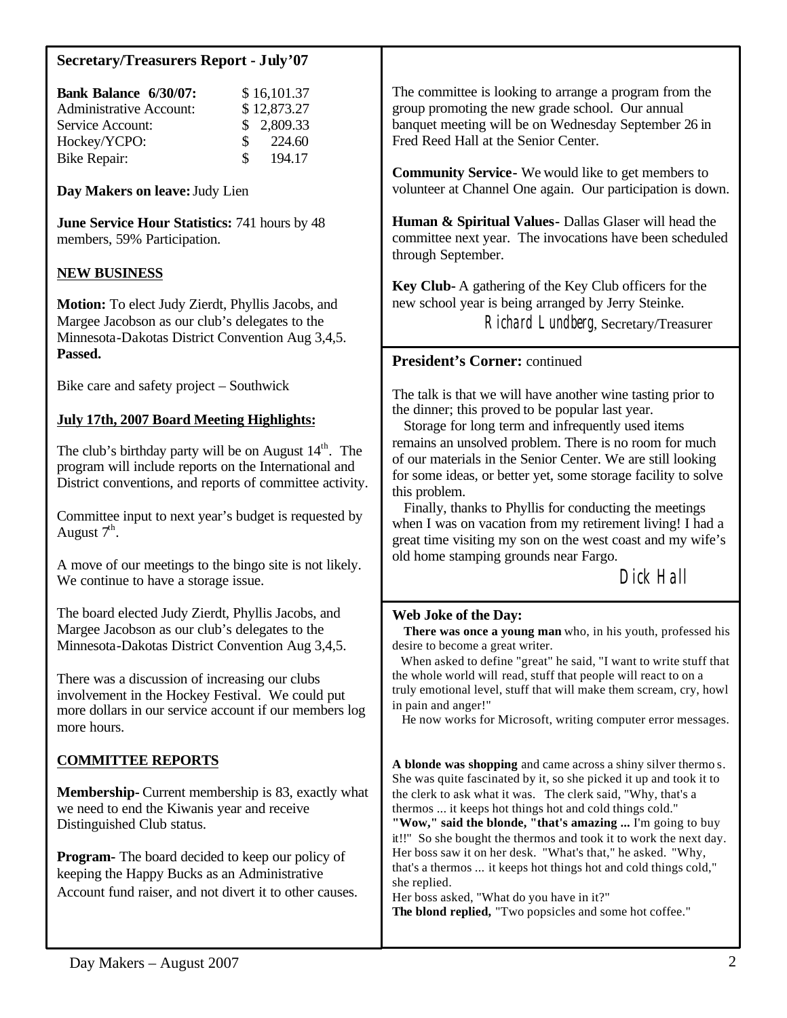# **Secretary/Treasurers Report - July'07**

| Bank Balance 6/30/07:          |              | \$16,101.37 |
|--------------------------------|--------------|-------------|
| <b>Administrative Account:</b> |              | \$12,873.27 |
| Service Account:               |              | \$2,809.33  |
| Hockey/YCPO:                   | <sup>S</sup> | 224.60      |
| Bike Repair:                   | S.           | 194.17      |

**Day Makers on leave:** Judy Lien

**June Service Hour Statistics:** 741 hours by 48 members, 59% Participation.

# **NEW BUSINESS**

**Motion:** To elect Judy Zierdt, Phyllis Jacobs, and Margee Jacobson as our club's delegates to the Minnesota-Dakotas District Convention Aug 3,4,5. **Passed.**

Bike care and safety project – Southwick

#### **July 17th, 2007 Board Meeting Highlights:**

The club's birthday party will be on August  $14<sup>th</sup>$ . The program will include reports on the International and District conventions, and reports of committee activity.

Committee input to next year's budget is requested by August  $7<sup>th</sup>$ .

A move of our meetings to the bingo site is not likely. We continue to have a storage issue.

The board elected Judy Zierdt, Phyllis Jacobs, and Margee Jacobson as our club's delegates to the Minnesota-Dakotas District Convention Aug 3,4,5.

There was a discussion of increasing our clubs involvement in the Hockey Festival. We could put more dollars in our service account if our members log more hours.

# **COMMITTEE REPORTS**

**Membership-** Current membership is 83, exactly what we need to end the Kiwanis year and receive Distinguished Club status.

**Program-** The board decided to keep our policy of keeping the Happy Bucks as an Administrative Account fund raiser, and not divert it to other causes. The committee is looking to arrange a program from the group promoting the new grade school. Our annual banquet meeting will be on Wednesday September 26 in Fred Reed Hall at the Senior Center.

**Community Service-** We would like to get members to volunteer at Channel One again. Our participation is down.

**Human & Spiritual Values-** Dallas Glaser will head the committee next year. The invocations have been scheduled through September.

**Key Club-** A gathering of the Key Club officers for the new school year is being arranged by Jerry Steinke.

Richard Lundberg, Secretary/Treasurer

#### **President's Corner:** continued

The talk is that we will have another wine tasting prior to the dinner; this proved to be popular last year.

 Storage for long term and infrequently used items remains an unsolved problem. There is no room for much of our materials in the Senior Center. We are still looking for some ideas, or better yet, some storage facility to solve this problem.

 Finally, thanks to Phyllis for conducting the meetings when I was on vacation from my retirement living! I had a great time visiting my son on the west coast and my wife's old home stamping grounds near Fargo.

Dick Hall

#### **Web Joke of the Day:**

 **There was once a young man** who, in his youth, professed his desire to become a great writer.

 When asked to define "great" he said, "I want to write stuff that the whole world will read, stuff that people will react to on a truly emotional level, stuff that will make them scream, cry, howl in pain and anger!"

He now works for Microsoft, writing computer error messages.

**A blonde was shopping** and came across a shiny silver thermo s. She was quite fascinated by it, so she picked it up and took it to the clerk to ask what it was. The clerk said, "Why, that's a thermos ... it keeps hot things hot and cold things cold." **"Wow," said the blonde, "that's amazing ...** I'm going to buy it!!" So she bought the thermos and took it to work the next day. Her boss saw it on her desk. "What's that," he asked. "Why,

that's a thermos ... it keeps hot things hot and cold things cold," she replied.

Her boss asked, "What do you have in it?" **The blond replied,** "Two popsicles and some hot coffee."